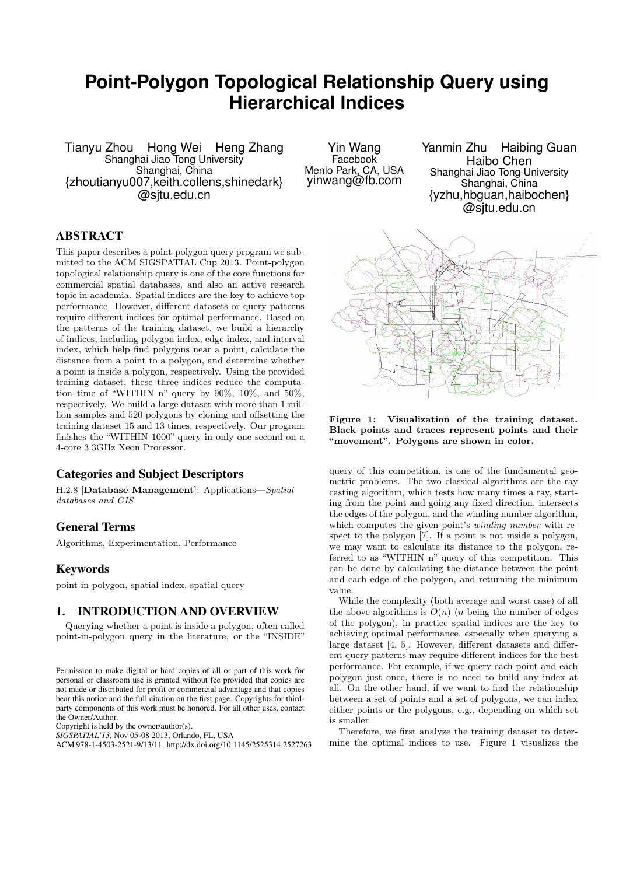# **Point-Polygon Topological Relationship Query using Hierarchical Indices**

Tianyu Zhou Hong Wei Heng Zhang Shanghai Jiao Tong University Shanghai, China {zhoutianyu007,keith.collens,shinedark} @sjtu.edu.cn

ABSTRACT

This paper describes a point-polygon query program we submitted to the ACM SIGSPATIAL Cup 2013. Point-polygon topological relationship query is one of the core functions for commercial spatial databases, and also an active research topic in academia. Spatial indices are the key to achieve top performance. However, different datasets or query patterns require different indices for optimal performance. Based on the patterns of the training dataset, we build a hierarchy of indices, including polygon index, edge index, and interval index, which help find polygons near a point, calculate the distance from a point to a polygon, and determine whether a point is inside a polygon, respectively. Using the provided training dataset, these three indices reduce the computation time of "WITHIN n" query by  $90\%$ ,  $10\%$ , and  $50\%$ , respectively. We build a large dataset with more than 1 million samples and 520 polygons by cloning and offsetting the training dataset 15 and 13 times, respectively. Our program finishes the "WITHIN 1000" query in only one second on a 4-core 3.3GHz Xeon Processor.

# Categories and Subject Descriptors

H.2.8 [Database Management]: Applications—*Spatial databases and GIS*

## General Terms

Algorithms, Experimentation, Performance

#### Keywords

point-in-polygon, spatial index, spatial query

# 1. INTRODUCTION AND OVERVIEW

Querying whether a point is inside a polygon, often called point-in-polygon query in the literature, or the "INSIDE"

Copyright is held by the owner/author(s).

*SIGSPATIAL'13,* Nov 05-08 2013, Orlando, FL, USA

ACM 978-1-4503-2521-9/13/11. http://dx.doi.org/10.1145/2525314.2527263

Yin Wang Facebook Menlo Park, CA, USA yinwang@fb.com

Yanmin Zhu Haibing Guan Haibo Chen Shanghai Jiao Tong University Shanghai, China {yzhu,hbguan,haibochen} @sjtu.edu.cn



Figure 1: Visualization of the training dataset. Black points and traces represent points and their "movement". Polygons are shown in color.

query of this competition, is one of the fundamental geometric problems. The two classical algorithms are the ray casting algorithm, which tests how many times a ray, starting from the point and going any fixed direction, intersects the edges of the polygon, and the winding number algorithm, which computes the given point's *winding number* with respect to the polygon [7]. If a point is not inside a polygon, we may want to calculate its distance to the polygon, referred to as "WITHIN n" query of this competition. This can be done by calculating the distance between the point and each edge of the polygon, and returning the minimum value.

While the complexity (both average and worst case) of all the above algorithms is  $O(n)$  (*n* being the number of edges of the polygon), in practice spatial indices are the key to achieving optimal performance, especially when querying a large dataset  $[4, 5]$ . However, different datasets and different query patterns may require different indices for the best performance. For example, if we query each point and each polygon just once, there is no need to build any index at all. On the other hand, if we want to find the relationship between a set of points and a set of polygons, we can index either points or the polygons, e.g., depending on which set is smaller.

Therefore, we first analyze the training dataset to determine the optimal indices to use. Figure 1 visualizes the

Permission to make digital or hard copies of all or part of this work for personal or classroom use is granted without fee provided that copies are not made or distributed for profit or commercial advantage and that copies bear this notice and the full citation on the first page. Copyrights for thirdparty components of this work must be honored. For all other uses, contact the Owner/Author.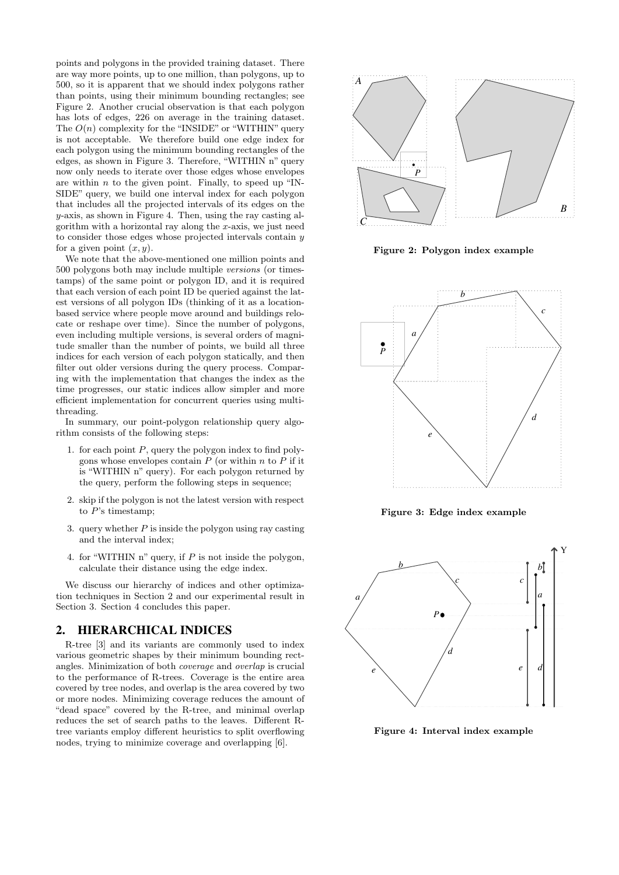points and polygons in the provided training dataset. There are way more points, up to one million, than polygons, up to 500, so it is apparent that we should index polygons rather than points, using their minimum bounding rectangles; see Figure 2. Another crucial observation is that each polygon has lots of edges, 226 on average in the training dataset. The  $O(n)$  complexity for the "INSIDE" or "WITHIN" query is not acceptable. We therefore build one edge index for each polygon using the minimum bounding rectangles of the edges, as shown in Figure 3. Therefore, "WITHIN n" query now only needs to iterate over those edges whose envelopes are within *n* to the given point. Finally, to speed up "IN-SIDE" query, we build one interval index for each polygon that includes all the projected intervals of its edges on the *y*-axis, as shown in Figure 4. Then, using the ray casting algorithm with a horizontal ray along the *x*-axis, we just need to consider those edges whose projected intervals contain *y* for a given point  $(x, y)$ .

We note that the above-mentioned one million points and 500 polygons both may include multiple *versions* (or timestamps) of the same point or polygon ID, and it is required that each version of each point ID be queried against the latest versions of all polygon IDs (thinking of it as a locationbased service where people move around and buildings relocate or reshape over time). Since the number of polygons, even including multiple versions, is several orders of magnitude smaller than the number of points, we build all three indices for each version of each polygon statically, and then filter out older versions during the query process. Comparing with the implementation that changes the index as the time progresses, our static indices allow simpler and more efficient implementation for concurrent queries using multithreading.

In summary, our point-polygon relationship query algorithm consists of the following steps:

- 1. for each point *P*, query the polygon index to find polygons whose envelopes contain *P* (or within *n* to *P* if it is "WITHIN n" query). For each polygon returned by the query, perform the following steps in sequence;
- 2. skip if the polygon is not the latest version with respect to *P*'s timestamp;
- 3. query whether *P* is inside the polygon using ray casting and the interval index;
- 4. for "WITHIN n" query, if *P* is not inside the polygon, calculate their distance using the edge index.

We discuss our hierarchy of indices and other optimization techniques in Section 2 and our experimental result in Section 3. Section 4 concludes this paper.

## 2. HIERARCHICAL INDICES

R-tree [3] and its variants are commonly used to index various geometric shapes by their minimum bounding rectangles. Minimization of both *coverage* and *overlap* is crucial to the performance of R-trees. Coverage is the entire area covered by tree nodes, and overlap is the area covered by two or more nodes. Minimizing coverage reduces the amount of "dead space" covered by the R-tree, and minimal overlap reduces the set of search paths to the leaves. Different Rtree variants employ different heuristics to split overflowing nodes, trying to minimize coverage and overlapping [6].



Figure 2: Polygon index example



Figure 3: Edge index example



Figure 4: Interval index example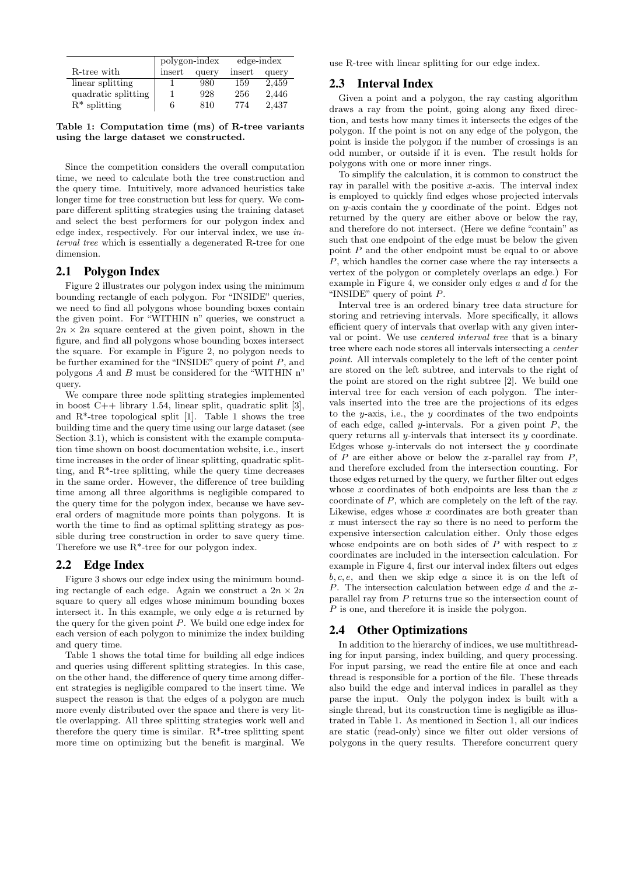|                     |        | polygon-index | edge-index |       |  |
|---------------------|--------|---------------|------------|-------|--|
| R-tree with         | insert | query         | insert     | query |  |
| linear splitting    |        | 980           | 159        | 2,459 |  |
| quadratic splitting |        | 928           | 256        | 2,446 |  |
| $R^*$ splitting     |        | 810           | 774        | 2.437 |  |

Table 1: Computation time (ms) of R-tree variants using the large dataset we constructed.

Since the competition considers the overall computation time, we need to calculate both the tree construction and the query time. Intuitively, more advanced heuristics take longer time for tree construction but less for query. We compare different splitting strategies using the training dataset and select the best performers for our polygon index and edge index, respectively. For our interval index, we use *interval tree* which is essentially a degenerated R-tree for one dimension.

## 2.1 Polygon Index

Figure 2 illustrates our polygon index using the minimum bounding rectangle of each polygon. For "INSIDE" queries, we need to find all polygons whose bounding boxes contain the given point. For "WITHIN n" queries, we construct a  $2n \times 2n$  square centered at the given point, shown in the figure, and find all polygons whose bounding boxes intersect the square. For example in Figure 2, no polygon needs to be further examined for the "INSIDE" query of point *P*, and polygons *A* and *B* must be considered for the "WITHIN n" query.

We compare three node splitting strategies implemented in boost C++ library 1.54, linear split, quadratic split [3], and  $R^*$ -tree topological split [1]. Table 1 shows the tree building time and the query time using our large dataset (see Section 3.1), which is consistent with the example computation time shown on boost documentation website, i.e., insert time increases in the order of linear splitting, quadratic splitting, and R\*-tree splitting, while the query time decreases in the same order. However, the difference of tree building time among all three algorithms is negligible compared to the query time for the polygon index, because we have several orders of magnitude more points than polygons. It is worth the time to find as optimal splitting strategy as possible during tree construction in order to save query time. Therefore we use  $R^*$ -tree for our polygon index.

#### 2.2 Edge Index

Figure 3 shows our edge index using the minimum bounding rectangle of each edge. Again we construct a  $2n \times 2n$ square to query all edges whose minimum bounding boxes intersect it. In this example, we only edge *a* is returned by the query for the given point *P*. We build one edge index for each version of each polygon to minimize the index building and query time.

Table 1 shows the total time for building all edge indices and queries using different splitting strategies. In this case, on the other hand, the difference of query time among different strategies is negligible compared to the insert time. We suspect the reason is that the edges of a polygon are much more evenly distributed over the space and there is very little overlapping. All three splitting strategies work well and therefore the query time is similar.  $R^*$ -tree splitting spent more time on optimizing but the benefit is marginal. We use R-tree with linear splitting for our edge index.

#### 2.3 Interval Index

Given a point and a polygon, the ray casting algorithm draws a ray from the point, going along any fixed direction, and tests how many times it intersects the edges of the polygon. If the point is not on any edge of the polygon, the point is inside the polygon if the number of crossings is an odd number, or outside if it is even. The result holds for polygons with one or more inner rings.

To simplify the calculation, it is common to construct the ray in parallel with the positive *x*-axis. The interval index is employed to quickly find edges whose projected intervals on *y*-axis contain the *y* coordinate of the point. Edges not returned by the query are either above or below the ray, and therefore do not intersect. (Here we define "contain" as such that one endpoint of the edge must be below the given point *P* and the other endpoint must be equal to or above *P*, which handles the corner case where the ray intersects a vertex of the polygon or completely overlaps an edge.) For example in Figure 4, we consider only edges *a* and *d* for the "INSIDE" query of point *P*.

Interval tree is an ordered binary tree data structure for storing and retrieving intervals. More specifically, it allows efficient query of intervals that overlap with any given interval or point. We use *centered interval tree* that is a binary tree where each node stores all intervals intersecting a *center point*. All intervals completely to the left of the center point are stored on the left subtree, and intervals to the right of the point are stored on the right subtree [2]. We build one interval tree for each version of each polygon. The intervals inserted into the tree are the projections of its edges to the *y*-axis, i.e., the *y* coordinates of the two endpoints of each edge, called *y*-intervals. For a given point *P*, the query returns all *y*-intervals that intersect its *y* coordinate. Edges whose *y*-intervals do not intersect the *y* coordinate of *P* are either above or below the *x*-parallel ray from *P*, and therefore excluded from the intersection counting. For those edges returned by the query, we further filter out edges whose *x* coordinates of both endpoints are less than the *x* coordinate of *P*, which are completely on the left of the ray. Likewise, edges whose *x* coordinates are both greater than *x* must intersect the ray so there is no need to perform the expensive intersection calculation either. Only those edges whose endpoints are on both sides of *P* with respect to *x* coordinates are included in the intersection calculation. For example in Figure 4, first our interval index filters out edges *b, c, e*, and then we skip edge *a* since it is on the left of *P*. The intersection calculation between edge *d* and the *x*parallel ray from *P* returns true so the intersection count of *P* is one, and therefore it is inside the polygon.

## 2.4 Other Optimizations

In addition to the hierarchy of indices, we use multithreading for input parsing, index building, and query processing. For input parsing, we read the entire file at once and each thread is responsible for a portion of the file. These threads also build the edge and interval indices in parallel as they parse the input. Only the polygon index is built with a single thread, but its construction time is negligible as illustrated in Table 1. As mentioned in Section 1, all our indices are static (read-only) since we filter out older versions of polygons in the query results. Therefore concurrent query